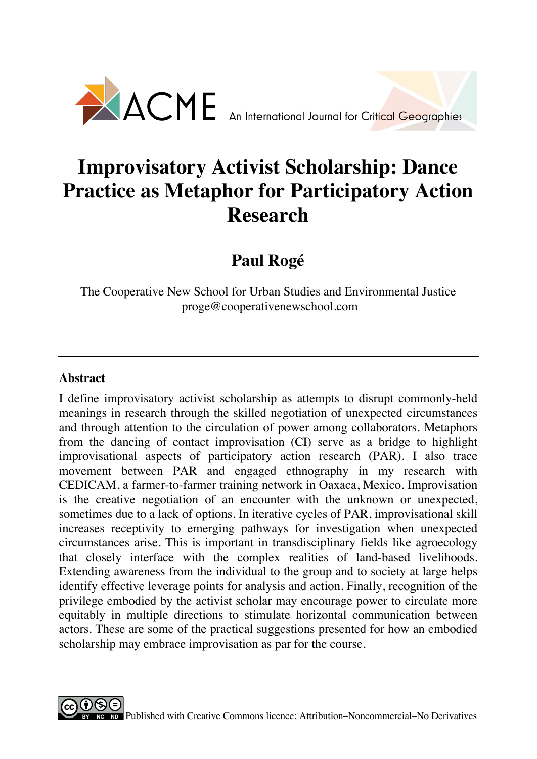

# **Improvisatory Activist Scholarship: Dance Practice as Metaphor for Participatory Action Research**

**Paul Rogé**

The Cooperative New School for Urban Studies and Environmental Justice proge@cooperativenewschool.com

# **Abstract**

I define improvisatory activist scholarship as attempts to disrupt commonly-held meanings in research through the skilled negotiation of unexpected circumstances and through attention to the circulation of power among collaborators. Metaphors from the dancing of contact improvisation (CI) serve as a bridge to highlight improvisational aspects of participatory action research (PAR). I also trace movement between PAR and engaged ethnography in my research with CEDICAM, a farmer-to-farmer training network in Oaxaca, Mexico. Improvisation is the creative negotiation of an encounter with the unknown or unexpected, sometimes due to a lack of options. In iterative cycles of PAR, improvisational skill increases receptivity to emerging pathways for investigation when unexpected circumstances arise. This is important in transdisciplinary fields like agroecology that closely interface with the complex realities of land-based livelihoods. Extending awareness from the individual to the group and to society at large helps identify effective leverage points for analysis and action. Finally, recognition of the privilege embodied by the activist scholar may encourage power to circulate more equitably in multiple directions to stimulate horizontal communication between actors. These are some of the practical suggestions presented for how an embodied scholarship may embrace improvisation as par for the course.

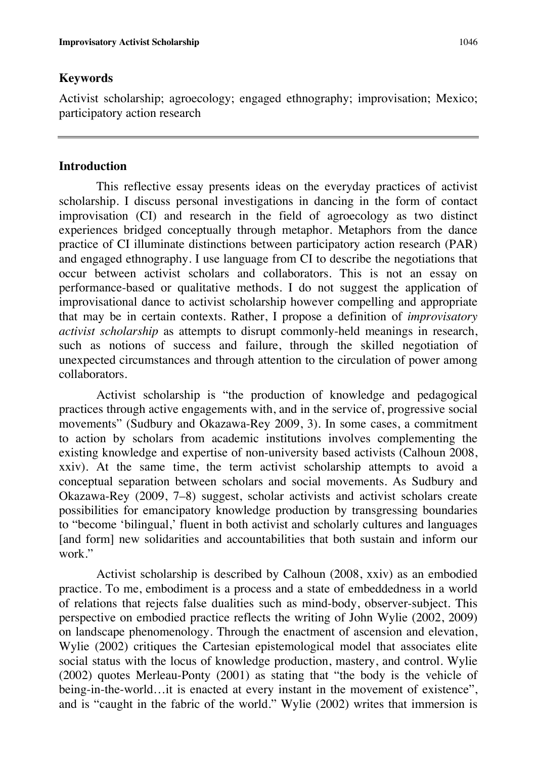# **Keywords**

Activist scholarship; agroecology; engaged ethnography; improvisation; Mexico; participatory action research

# **Introduction**

This reflective essay presents ideas on the everyday practices of activist scholarship. I discuss personal investigations in dancing in the form of contact improvisation (CI) and research in the field of agroecology as two distinct experiences bridged conceptually through metaphor. Metaphors from the dance practice of CI illuminate distinctions between participatory action research (PAR) and engaged ethnography. I use language from CI to describe the negotiations that occur between activist scholars and collaborators. This is not an essay on performance-based or qualitative methods. I do not suggest the application of improvisational dance to activist scholarship however compelling and appropriate that may be in certain contexts. Rather, I propose a definition of *improvisatory activist scholarship* as attempts to disrupt commonly-held meanings in research, such as notions of success and failure, through the skilled negotiation of unexpected circumstances and through attention to the circulation of power among collaborators.

Activist scholarship is "the production of knowledge and pedagogical practices through active engagements with, and in the service of, progressive social movements" (Sudbury and Okazawa-Rey 2009, 3). In some cases, a commitment to action by scholars from academic institutions involves complementing the existing knowledge and expertise of non-university based activists (Calhoun 2008, xxiv). At the same time, the term activist scholarship attempts to avoid a conceptual separation between scholars and social movements. As Sudbury and Okazawa-Rey (2009, 7–8) suggest, scholar activists and activist scholars create possibilities for emancipatory knowledge production by transgressing boundaries to "become 'bilingual,' fluent in both activist and scholarly cultures and languages [and form] new solidarities and accountabilities that both sustain and inform our work."

Activist scholarship is described by Calhoun (2008, xxiv) as an embodied practice. To me, embodiment is a process and a state of embeddedness in a world of relations that rejects false dualities such as mind-body, observer-subject. This perspective on embodied practice reflects the writing of John Wylie (2002, 2009) on landscape phenomenology. Through the enactment of ascension and elevation, Wylie (2002) critiques the Cartesian epistemological model that associates elite social status with the locus of knowledge production, mastery, and control. Wylie (2002) quotes Merleau-Ponty (2001) as stating that "the body is the vehicle of being-in-the-world…it is enacted at every instant in the movement of existence", and is "caught in the fabric of the world." Wylie (2002) writes that immersion is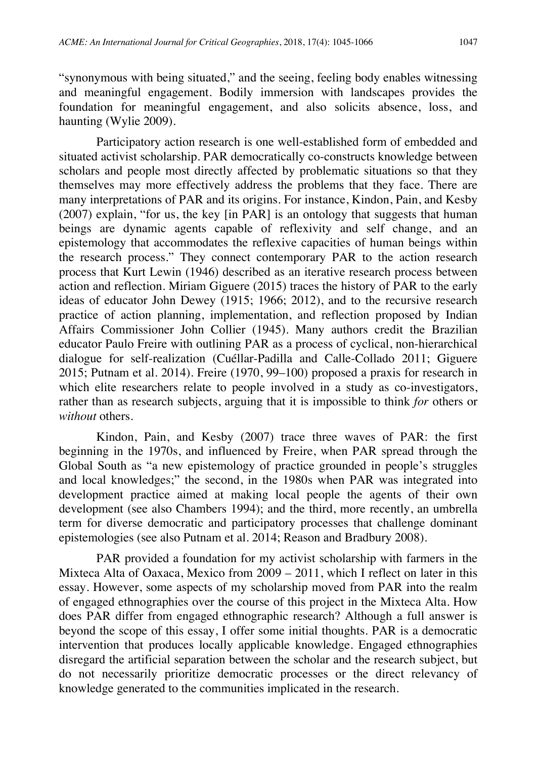"synonymous with being situated," and the seeing, feeling body enables witnessing and meaningful engagement. Bodily immersion with landscapes provides the foundation for meaningful engagement, and also solicits absence, loss, and haunting (Wylie 2009).

Participatory action research is one well-established form of embedded and situated activist scholarship. PAR democratically co-constructs knowledge between scholars and people most directly affected by problematic situations so that they themselves may more effectively address the problems that they face. There are many interpretations of PAR and its origins. For instance, Kindon, Pain, and Kesby (2007) explain, "for us, the key [in PAR] is an ontology that suggests that human beings are dynamic agents capable of reflexivity and self change, and an epistemology that accommodates the reflexive capacities of human beings within the research process." They connect contemporary PAR to the action research process that Kurt Lewin (1946) described as an iterative research process between action and reflection. Miriam Giguere (2015) traces the history of PAR to the early ideas of educator John Dewey (1915; 1966; 2012), and to the recursive research practice of action planning, implementation, and reflection proposed by Indian Affairs Commissioner John Collier (1945). Many authors credit the Brazilian educator Paulo Freire with outlining PAR as a process of cyclical, non-hierarchical dialogue for self-realization (Cuéllar-Padilla and Calle-Collado 2011; Giguere 2015; Putnam et al. 2014). Freire (1970, 99–100) proposed a praxis for research in which elite researchers relate to people involved in a study as co-investigators, rather than as research subjects, arguing that it is impossible to think *for* others or *without* others.

Kindon, Pain, and Kesby (2007) trace three waves of PAR: the first beginning in the 1970s, and influenced by Freire, when PAR spread through the Global South as "a new epistemology of practice grounded in people's struggles and local knowledges;" the second, in the 1980s when PAR was integrated into development practice aimed at making local people the agents of their own development (see also Chambers 1994); and the third, more recently, an umbrella term for diverse democratic and participatory processes that challenge dominant epistemologies (see also Putnam et al. 2014; Reason and Bradbury 2008).

PAR provided a foundation for my activist scholarship with farmers in the Mixteca Alta of Oaxaca, Mexico from 2009 – 2011, which I reflect on later in this essay. However, some aspects of my scholarship moved from PAR into the realm of engaged ethnographies over the course of this project in the Mixteca Alta. How does PAR differ from engaged ethnographic research? Although a full answer is beyond the scope of this essay, I offer some initial thoughts. PAR is a democratic intervention that produces locally applicable knowledge. Engaged ethnographies disregard the artificial separation between the scholar and the research subject, but do not necessarily prioritize democratic processes or the direct relevancy of knowledge generated to the communities implicated in the research.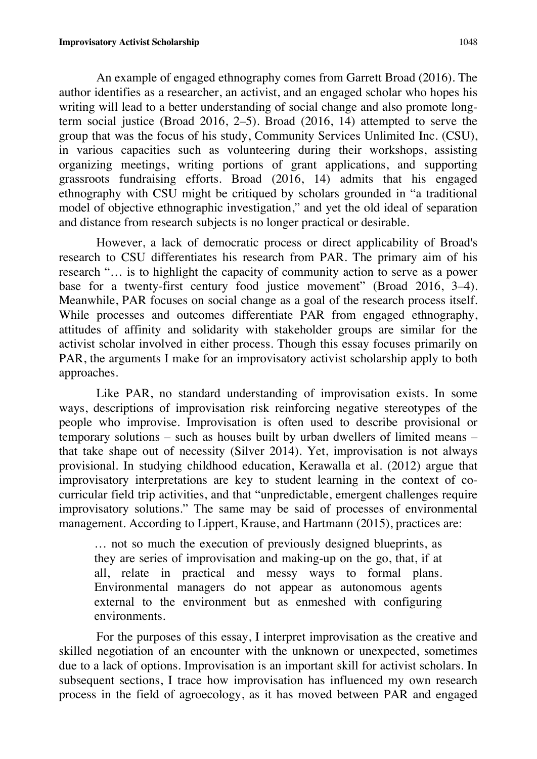An example of engaged ethnography comes from Garrett Broad (2016). The author identifies as a researcher, an activist, and an engaged scholar who hopes his writing will lead to a better understanding of social change and also promote longterm social justice (Broad 2016, 2–5). Broad (2016, 14) attempted to serve the group that was the focus of his study, Community Services Unlimited Inc. (CSU), in various capacities such as volunteering during their workshops, assisting organizing meetings, writing portions of grant applications, and supporting grassroots fundraising efforts. Broad (2016, 14) admits that his engaged ethnography with CSU might be critiqued by scholars grounded in "a traditional model of objective ethnographic investigation," and yet the old ideal of separation and distance from research subjects is no longer practical or desirable.

However, a lack of democratic process or direct applicability of Broad's research to CSU differentiates his research from PAR. The primary aim of his research "… is to highlight the capacity of community action to serve as a power base for a twenty-first century food justice movement" (Broad 2016, 3–4). Meanwhile, PAR focuses on social change as a goal of the research process itself. While processes and outcomes differentiate PAR from engaged ethnography, attitudes of affinity and solidarity with stakeholder groups are similar for the activist scholar involved in either process. Though this essay focuses primarily on PAR, the arguments I make for an improvisatory activist scholarship apply to both approaches.

Like PAR, no standard understanding of improvisation exists. In some ways, descriptions of improvisation risk reinforcing negative stereotypes of the people who improvise. Improvisation is often used to describe provisional or temporary solutions – such as houses built by urban dwellers of limited means – that take shape out of necessity (Silver 2014). Yet, improvisation is not always provisional. In studying childhood education, Kerawalla et al. (2012) argue that improvisatory interpretations are key to student learning in the context of cocurricular field trip activities, and that "unpredictable, emergent challenges require improvisatory solutions." The same may be said of processes of environmental management. According to Lippert, Krause, and Hartmann (2015), practices are:

… not so much the execution of previously designed blueprints, as they are series of improvisation and making-up on the go, that, if at all, relate in practical and messy ways to formal plans. Environmental managers do not appear as autonomous agents external to the environment but as enmeshed with configuring environments.

For the purposes of this essay, I interpret improvisation as the creative and skilled negotiation of an encounter with the unknown or unexpected, sometimes due to a lack of options. Improvisation is an important skill for activist scholars. In subsequent sections, I trace how improvisation has influenced my own research process in the field of agroecology, as it has moved between PAR and engaged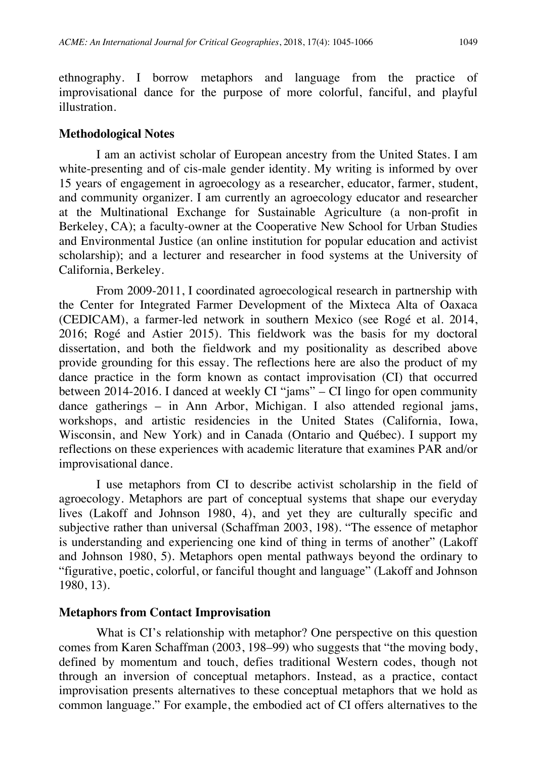ethnography. I borrow metaphors and language from the practice of improvisational dance for the purpose of more colorful, fanciful, and playful illustration.

# **Methodological Notes**

I am an activist scholar of European ancestry from the United States. I am white-presenting and of cis-male gender identity. My writing is informed by over 15 years of engagement in agroecology as a researcher, educator, farmer, student, and community organizer. I am currently an agroecology educator and researcher at the Multinational Exchange for Sustainable Agriculture (a non-profit in Berkeley, CA); a faculty-owner at the Cooperative New School for Urban Studies and Environmental Justice (an online institution for popular education and activist scholarship); and a lecturer and researcher in food systems at the University of California, Berkeley.

From 2009-2011, I coordinated agroecological research in partnership with the Center for Integrated Farmer Development of the Mixteca Alta of Oaxaca (CEDICAM), a farmer-led network in southern Mexico (see Rogé et al. 2014, 2016; Rogé and Astier 2015). This fieldwork was the basis for my doctoral dissertation, and both the fieldwork and my positionality as described above provide grounding for this essay. The reflections here are also the product of my dance practice in the form known as contact improvisation (CI) that occurred between 2014-2016. I danced at weekly CI "jams" – CI lingo for open community dance gatherings – in Ann Arbor, Michigan. I also attended regional jams, workshops, and artistic residencies in the United States (California, Iowa, Wisconsin, and New York) and in Canada (Ontario and Québec). I support my reflections on these experiences with academic literature that examines PAR and/or improvisational dance.

I use metaphors from CI to describe activist scholarship in the field of agroecology. Metaphors are part of conceptual systems that shape our everyday lives (Lakoff and Johnson 1980, 4), and yet they are culturally specific and subjective rather than universal (Schaffman 2003, 198). "The essence of metaphor is understanding and experiencing one kind of thing in terms of another" (Lakoff and Johnson 1980, 5). Metaphors open mental pathways beyond the ordinary to "figurative, poetic, colorful, or fanciful thought and language" (Lakoff and Johnson 1980, 13).

# **Metaphors from Contact Improvisation**

What is CI's relationship with metaphor? One perspective on this question comes from Karen Schaffman (2003, 198–99) who suggests that "the moving body, defined by momentum and touch, defies traditional Western codes, though not through an inversion of conceptual metaphors. Instead, as a practice, contact improvisation presents alternatives to these conceptual metaphors that we hold as common language." For example, the embodied act of CI offers alternatives to the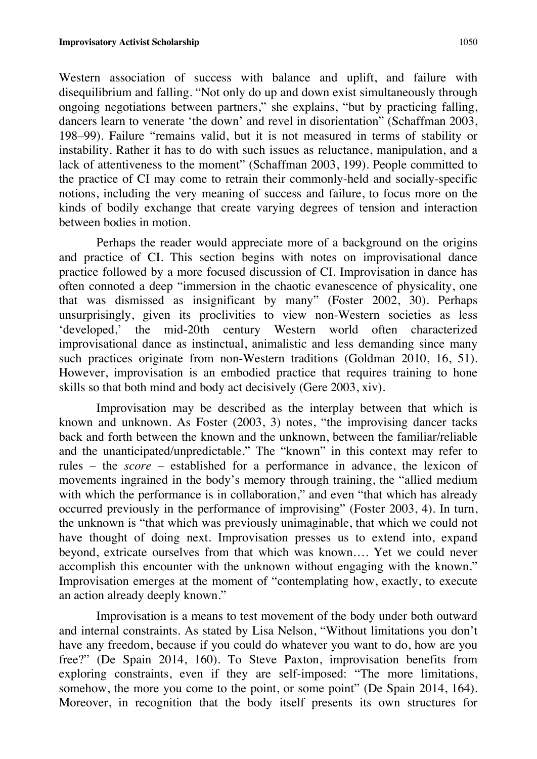Western association of success with balance and uplift, and failure with disequilibrium and falling. "Not only do up and down exist simultaneously through ongoing negotiations between partners," she explains, "but by practicing falling, dancers learn to venerate 'the down' and revel in disorientation" (Schaffman 2003, 198–99). Failure "remains valid, but it is not measured in terms of stability or instability. Rather it has to do with such issues as reluctance, manipulation, and a lack of attentiveness to the moment" (Schaffman 2003, 199). People committed to the practice of CI may come to retrain their commonly-held and socially-specific notions, including the very meaning of success and failure, to focus more on the kinds of bodily exchange that create varying degrees of tension and interaction between bodies in motion.

Perhaps the reader would appreciate more of a background on the origins and practice of CI. This section begins with notes on improvisational dance practice followed by a more focused discussion of CI. Improvisation in dance has often connoted a deep "immersion in the chaotic evanescence of physicality, one that was dismissed as insignificant by many" (Foster 2002, 30). Perhaps unsurprisingly, given its proclivities to view non-Western societies as less 'developed,' the mid-20th century Western world often characterized improvisational dance as instinctual, animalistic and less demanding since many such practices originate from non-Western traditions (Goldman 2010, 16, 51). However, improvisation is an embodied practice that requires training to hone skills so that both mind and body act decisively (Gere 2003, xiv).

Improvisation may be described as the interplay between that which is known and unknown. As Foster (2003, 3) notes, "the improvising dancer tacks back and forth between the known and the unknown, between the familiar/reliable and the unanticipated/unpredictable." The "known" in this context may refer to rules – the *score* – established for a performance in advance, the lexicon of movements ingrained in the body's memory through training, the "allied medium with which the performance is in collaboration," and even "that which has already occurred previously in the performance of improvising" (Foster 2003, 4). In turn, the unknown is "that which was previously unimaginable, that which we could not have thought of doing next. Improvisation presses us to extend into, expand beyond, extricate ourselves from that which was known…. Yet we could never accomplish this encounter with the unknown without engaging with the known." Improvisation emerges at the moment of "contemplating how, exactly, to execute an action already deeply known."

Improvisation is a means to test movement of the body under both outward and internal constraints. As stated by Lisa Nelson, "Without limitations you don't have any freedom, because if you could do whatever you want to do, how are you free?" (De Spain 2014, 160). To Steve Paxton, improvisation benefits from exploring constraints, even if they are self-imposed: "The more limitations, somehow, the more you come to the point, or some point" (De Spain 2014, 164). Moreover, in recognition that the body itself presents its own structures for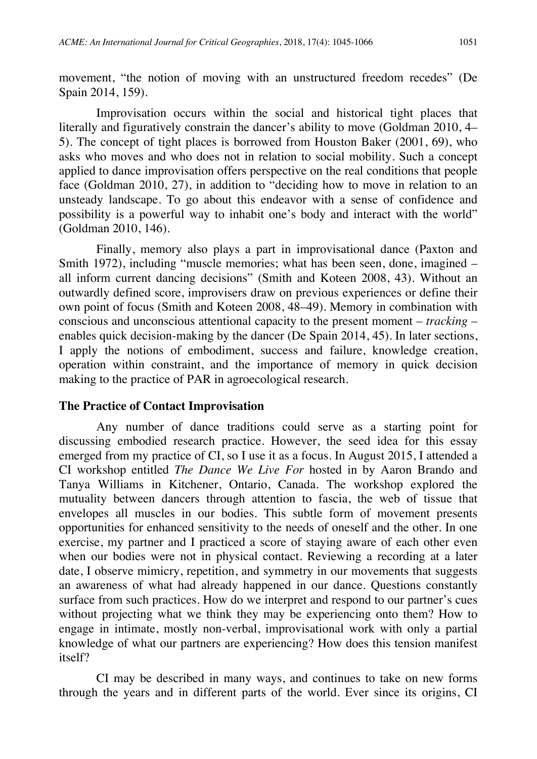movement, "the notion of moving with an unstructured freedom recedes" (De Spain 2014, 159).

Improvisation occurs within the social and historical tight places that literally and figuratively constrain the dancer's ability to move (Goldman 2010, 4– 5). The concept of tight places is borrowed from Houston Baker (2001, 69), who asks who moves and who does not in relation to social mobility. Such a concept applied to dance improvisation offers perspective on the real conditions that people face (Goldman 2010, 27), in addition to "deciding how to move in relation to an unsteady landscape. To go about this endeavor with a sense of confidence and possibility is a powerful way to inhabit one's body and interact with the world" (Goldman 2010, 146).

Finally, memory also plays a part in improvisational dance (Paxton and Smith 1972), including "muscle memories; what has been seen, done, imagined – all inform current dancing decisions" (Smith and Koteen 2008, 43). Without an outwardly defined score, improvisers draw on previous experiences or define their own point of focus (Smith and Koteen 2008, 48–49). Memory in combination with conscious and unconscious attentional capacity to the present moment – *tracking* – enables quick decision-making by the dancer (De Spain 2014, 45). In later sections, I apply the notions of embodiment, success and failure, knowledge creation, operation within constraint, and the importance of memory in quick decision making to the practice of PAR in agroecological research.

## **The Practice of Contact Improvisation**

Any number of dance traditions could serve as a starting point for discussing embodied research practice. However, the seed idea for this essay emerged from my practice of CI, so I use it as a focus. In August 2015, I attended a CI workshop entitled *The Dance We Live For* hosted in by Aaron Brando and Tanya Williams in Kitchener, Ontario, Canada. The workshop explored the mutuality between dancers through attention to fascia, the web of tissue that envelopes all muscles in our bodies. This subtle form of movement presents opportunities for enhanced sensitivity to the needs of oneself and the other. In one exercise, my partner and I practiced a score of staying aware of each other even when our bodies were not in physical contact. Reviewing a recording at a later date, I observe mimicry, repetition, and symmetry in our movements that suggests an awareness of what had already happened in our dance. Questions constantly surface from such practices. How do we interpret and respond to our partner's cues without projecting what we think they may be experiencing onto them? How to engage in intimate, mostly non-verbal, improvisational work with only a partial knowledge of what our partners are experiencing? How does this tension manifest itself?

CI may be described in many ways, and continues to take on new forms through the years and in different parts of the world. Ever since its origins, CI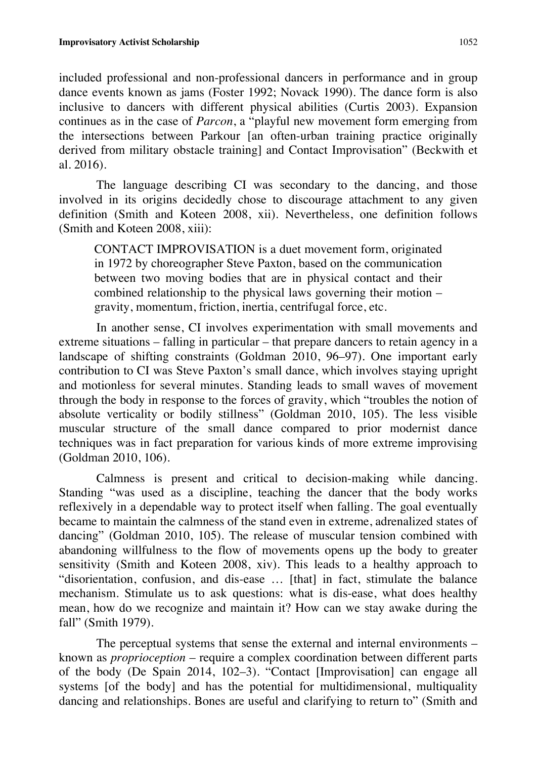included professional and non-professional dancers in performance and in group dance events known as jams (Foster 1992; Novack 1990). The dance form is also inclusive to dancers with different physical abilities (Curtis 2003). Expansion continues as in the case of *Parcon*, a "playful new movement form emerging from the intersections between Parkour [an often-urban training practice originally derived from military obstacle training] and Contact Improvisation" (Beckwith et al. 2016).

The language describing CI was secondary to the dancing, and those involved in its origins decidedly chose to discourage attachment to any given definition (Smith and Koteen 2008, xii). Nevertheless, one definition follows (Smith and Koteen 2008, xiii):

CONTACT IMPROVISATION is a duet movement form, originated in 1972 by choreographer Steve Paxton, based on the communication between two moving bodies that are in physical contact and their combined relationship to the physical laws governing their motion – gravity, momentum, friction, inertia, centrifugal force, etc.

In another sense, CI involves experimentation with small movements and extreme situations – falling in particular – that prepare dancers to retain agency in a landscape of shifting constraints (Goldman 2010, 96–97). One important early contribution to CI was Steve Paxton's small dance, which involves staying upright and motionless for several minutes. Standing leads to small waves of movement through the body in response to the forces of gravity, which "troubles the notion of absolute verticality or bodily stillness" (Goldman 2010, 105). The less visible muscular structure of the small dance compared to prior modernist dance techniques was in fact preparation for various kinds of more extreme improvising (Goldman 2010, 106).

Calmness is present and critical to decision-making while dancing. Standing "was used as a discipline, teaching the dancer that the body works reflexively in a dependable way to protect itself when falling. The goal eventually became to maintain the calmness of the stand even in extreme, adrenalized states of dancing" (Goldman 2010, 105). The release of muscular tension combined with abandoning willfulness to the flow of movements opens up the body to greater sensitivity (Smith and Koteen 2008, xiv). This leads to a healthy approach to "disorientation, confusion, and dis-ease … [that] in fact, stimulate the balance mechanism. Stimulate us to ask questions: what is dis-ease, what does healthy mean, how do we recognize and maintain it? How can we stay awake during the fall" (Smith 1979).

The perceptual systems that sense the external and internal environments – known as *proprioception* – require a complex coordination between different parts of the body (De Spain 2014, 102–3). "Contact [Improvisation] can engage all systems [of the body] and has the potential for multidimensional, multiquality dancing and relationships. Bones are useful and clarifying to return to" (Smith and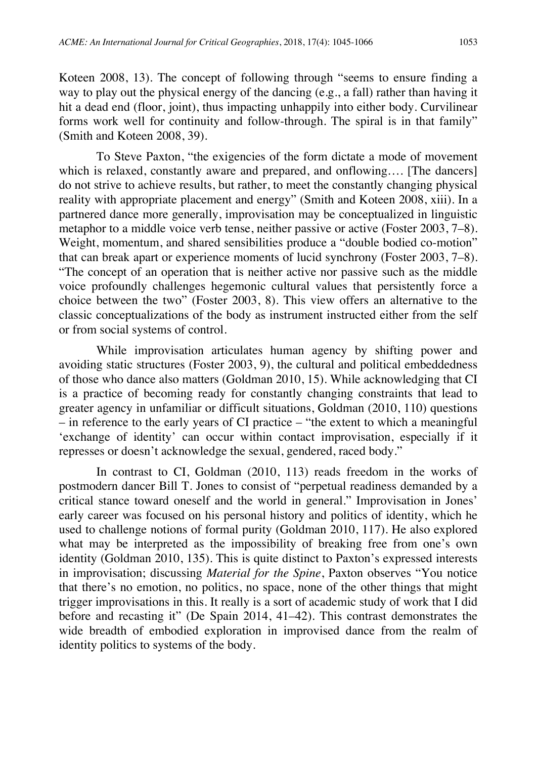Koteen 2008, 13). The concept of following through "seems to ensure finding a way to play out the physical energy of the dancing (e.g., a fall) rather than having it hit a dead end (floor, joint), thus impacting unhappily into either body. Curvilinear forms work well for continuity and follow-through. The spiral is in that family" (Smith and Koteen 2008, 39).

To Steve Paxton, "the exigencies of the form dictate a mode of movement which is relaxed, constantly aware and prepared, and onflowing.... [The dancers] do not strive to achieve results, but rather, to meet the constantly changing physical reality with appropriate placement and energy" (Smith and Koteen 2008, xiii). In a partnered dance more generally, improvisation may be conceptualized in linguistic metaphor to a middle voice verb tense, neither passive or active (Foster 2003, 7–8). Weight, momentum, and shared sensibilities produce a "double bodied co-motion" that can break apart or experience moments of lucid synchrony (Foster 2003, 7–8). "The concept of an operation that is neither active nor passive such as the middle voice profoundly challenges hegemonic cultural values that persistently force a choice between the two" (Foster 2003, 8). This view offers an alternative to the classic conceptualizations of the body as instrument instructed either from the self or from social systems of control.

While improvisation articulates human agency by shifting power and avoiding static structures (Foster 2003, 9), the cultural and political embeddedness of those who dance also matters (Goldman 2010, 15). While acknowledging that CI is a practice of becoming ready for constantly changing constraints that lead to greater agency in unfamiliar or difficult situations, Goldman (2010, 110) questions – in reference to the early years of CI practice – "the extent to which a meaningful 'exchange of identity' can occur within contact improvisation, especially if it represses or doesn't acknowledge the sexual, gendered, raced body."

In contrast to CI, Goldman (2010, 113) reads freedom in the works of postmodern dancer Bill T. Jones to consist of "perpetual readiness demanded by a critical stance toward oneself and the world in general." Improvisation in Jones' early career was focused on his personal history and politics of identity, which he used to challenge notions of formal purity (Goldman 2010, 117). He also explored what may be interpreted as the impossibility of breaking free from one's own identity (Goldman 2010, 135). This is quite distinct to Paxton's expressed interests in improvisation; discussing *Material for the Spine*, Paxton observes "You notice that there's no emotion, no politics, no space, none of the other things that might trigger improvisations in this. It really is a sort of academic study of work that I did before and recasting it" (De Spain 2014, 41–42). This contrast demonstrates the wide breadth of embodied exploration in improvised dance from the realm of identity politics to systems of the body.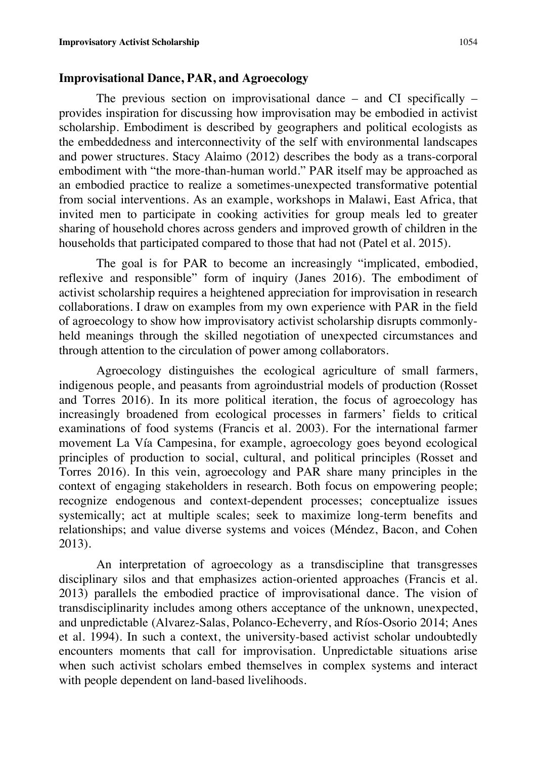#### **Improvisational Dance, PAR, and Agroecology**

The previous section on improvisational dance – and CI specifically – provides inspiration for discussing how improvisation may be embodied in activist scholarship. Embodiment is described by geographers and political ecologists as the embeddedness and interconnectivity of the self with environmental landscapes and power structures. Stacy Alaimo (2012) describes the body as a trans-corporal embodiment with "the more-than-human world." PAR itself may be approached as an embodied practice to realize a sometimes-unexpected transformative potential from social interventions. As an example, workshops in Malawi, East Africa, that invited men to participate in cooking activities for group meals led to greater sharing of household chores across genders and improved growth of children in the households that participated compared to those that had not (Patel et al. 2015).

The goal is for PAR to become an increasingly "implicated, embodied, reflexive and responsible" form of inquiry (Janes 2016). The embodiment of activist scholarship requires a heightened appreciation for improvisation in research collaborations. I draw on examples from my own experience with PAR in the field of agroecology to show how improvisatory activist scholarship disrupts commonlyheld meanings through the skilled negotiation of unexpected circumstances and through attention to the circulation of power among collaborators.

Agroecology distinguishes the ecological agriculture of small farmers, indigenous people, and peasants from agroindustrial models of production (Rosset and Torres 2016). In its more political iteration, the focus of agroecology has increasingly broadened from ecological processes in farmers' fields to critical examinations of food systems (Francis et al. 2003). For the international farmer movement La Vía Campesina, for example, agroecology goes beyond ecological principles of production to social, cultural, and political principles (Rosset and Torres 2016). In this vein, agroecology and PAR share many principles in the context of engaging stakeholders in research. Both focus on empowering people; recognize endogenous and context-dependent processes; conceptualize issues systemically; act at multiple scales; seek to maximize long-term benefits and relationships; and value diverse systems and voices (Méndez, Bacon, and Cohen 2013).

An interpretation of agroecology as a transdiscipline that transgresses disciplinary silos and that emphasizes action-oriented approaches (Francis et al. 2013) parallels the embodied practice of improvisational dance. The vision of transdisciplinarity includes among others acceptance of the unknown, unexpected, and unpredictable (Alvarez-Salas, Polanco-Echeverry, and Ríos-Osorio 2014; Anes et al. 1994). In such a context, the university-based activist scholar undoubtedly encounters moments that call for improvisation. Unpredictable situations arise when such activist scholars embed themselves in complex systems and interact with people dependent on land-based livelihoods.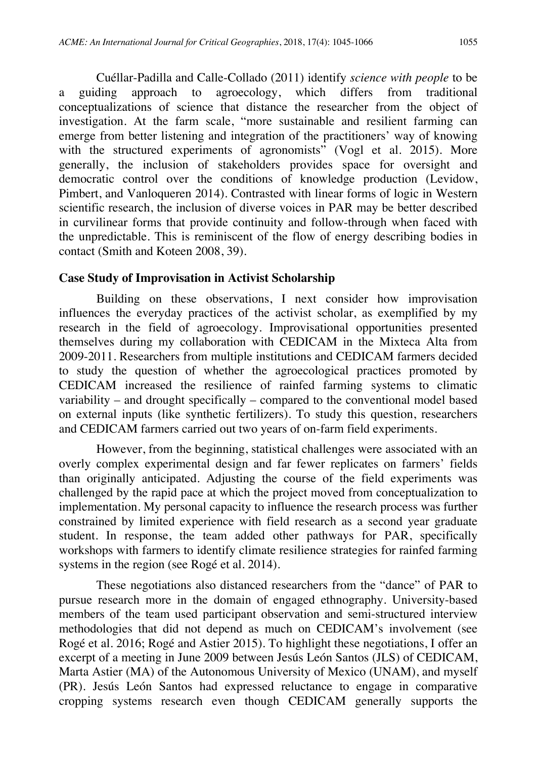Cuéllar-Padilla and Calle-Collado (2011) identify *science with people* to be a guiding approach to agroecology, which differs from traditional conceptualizations of science that distance the researcher from the object of investigation. At the farm scale, "more sustainable and resilient farming can emerge from better listening and integration of the practitioners' way of knowing with the structured experiments of agronomists" (Vogl et al. 2015). More generally, the inclusion of stakeholders provides space for oversight and democratic control over the conditions of knowledge production (Levidow, Pimbert, and Vanloqueren 2014). Contrasted with linear forms of logic in Western scientific research, the inclusion of diverse voices in PAR may be better described in curvilinear forms that provide continuity and follow-through when faced with the unpredictable. This is reminiscent of the flow of energy describing bodies in contact (Smith and Koteen 2008, 39).

## **Case Study of Improvisation in Activist Scholarship**

Building on these observations, I next consider how improvisation influences the everyday practices of the activist scholar, as exemplified by my research in the field of agroecology. Improvisational opportunities presented themselves during my collaboration with CEDICAM in the Mixteca Alta from 2009-2011. Researchers from multiple institutions and CEDICAM farmers decided to study the question of whether the agroecological practices promoted by CEDICAM increased the resilience of rainfed farming systems to climatic variability – and drought specifically – compared to the conventional model based on external inputs (like synthetic fertilizers). To study this question, researchers and CEDICAM farmers carried out two years of on-farm field experiments.

However, from the beginning, statistical challenges were associated with an overly complex experimental design and far fewer replicates on farmers' fields than originally anticipated. Adjusting the course of the field experiments was challenged by the rapid pace at which the project moved from conceptualization to implementation. My personal capacity to influence the research process was further constrained by limited experience with field research as a second year graduate student. In response, the team added other pathways for PAR, specifically workshops with farmers to identify climate resilience strategies for rainfed farming systems in the region (see Rogé et al. 2014).

These negotiations also distanced researchers from the "dance" of PAR to pursue research more in the domain of engaged ethnography. University-based members of the team used participant observation and semi-structured interview methodologies that did not depend as much on CEDICAM's involvement (see Rogé et al. 2016; Rogé and Astier 2015). To highlight these negotiations, I offer an excerpt of a meeting in June 2009 between Jesús León Santos (JLS) of CEDICAM, Marta Astier (MA) of the Autonomous University of Mexico (UNAM), and myself (PR). Jesús León Santos had expressed reluctance to engage in comparative cropping systems research even though CEDICAM generally supports the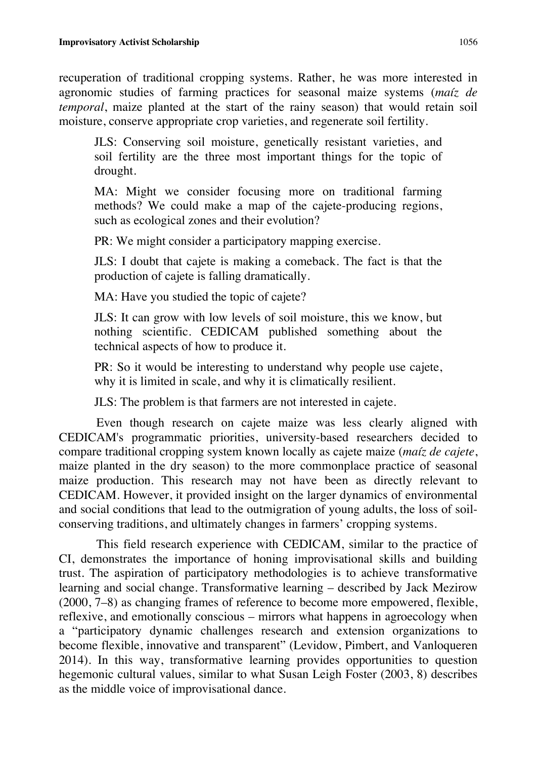recuperation of traditional cropping systems. Rather, he was more interested in agronomic studies of farming practices for seasonal maize systems (*maíz de temporal*, maize planted at the start of the rainy season) that would retain soil moisture, conserve appropriate crop varieties, and regenerate soil fertility.

JLS: Conserving soil moisture, genetically resistant varieties, and soil fertility are the three most important things for the topic of drought.

MA: Might we consider focusing more on traditional farming methods? We could make a map of the cajete-producing regions, such as ecological zones and their evolution?

PR: We might consider a participatory mapping exercise.

JLS: I doubt that cajete is making a comeback. The fact is that the production of cajete is falling dramatically.

MA: Have you studied the topic of cajete?

JLS: It can grow with low levels of soil moisture, this we know, but nothing scientific. CEDICAM published something about the technical aspects of how to produce it.

PR: So it would be interesting to understand why people use cajete, why it is limited in scale, and why it is climatically resilient.

JLS: The problem is that farmers are not interested in cajete.

Even though research on cajete maize was less clearly aligned with CEDICAM's programmatic priorities, university-based researchers decided to compare traditional cropping system known locally as cajete maize (*maíz de cajete*, maize planted in the dry season) to the more commonplace practice of seasonal maize production. This research may not have been as directly relevant to CEDICAM. However, it provided insight on the larger dynamics of environmental and social conditions that lead to the outmigration of young adults, the loss of soilconserving traditions, and ultimately changes in farmers' cropping systems.

This field research experience with CEDICAM, similar to the practice of CI, demonstrates the importance of honing improvisational skills and building trust. The aspiration of participatory methodologies is to achieve transformative learning and social change. Transformative learning – described by Jack Mezirow (2000, 7–8) as changing frames of reference to become more empowered, flexible, reflexive, and emotionally conscious – mirrors what happens in agroecology when a "participatory dynamic challenges research and extension organizations to become flexible, innovative and transparent" (Levidow, Pimbert, and Vanloqueren 2014). In this way, transformative learning provides opportunities to question hegemonic cultural values, similar to what Susan Leigh Foster (2003, 8) describes as the middle voice of improvisational dance.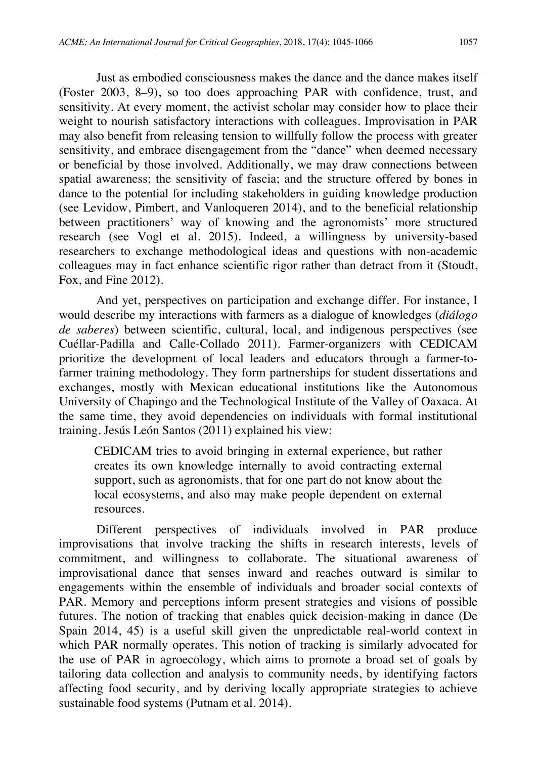Just as embodied consciousness makes the dance and the dance makes itself (Foster 2003, 8–9), so too does approaching PAR with confidence, trust, and sensitivity. At every moment, the activist scholar may consider how to place their weight to nourish satisfactory interactions with colleagues. Improvisation in PAR may also benefit from releasing tension to willfully follow the process with greater sensitivity, and embrace disengagement from the "dance" when deemed necessary or beneficial by those involved. Additionally, we may draw connections between spatial awareness; the sensitivity of fascia; and the structure offered by bones in dance to the potential for including stakeholders in guiding knowledge production (see Levidow, Pimbert, and Vanloqueren 2014), and to the beneficial relationship between practitioners' way of knowing and the agronomists' more structured research (see Vogl et al. 2015). Indeed, a willingness by university-based researchers to exchange methodological ideas and questions with non-academic colleagues may in fact enhance scientific rigor rather than detract from it (Stoudt, Fox, and Fine 2012).

And yet, perspectives on participation and exchange differ. For instance, I would describe my interactions with farmers as a dialogue of knowledges (*diálogo de saberes*) between scientific, cultural, local, and indigenous perspectives (see Cuéllar-Padilla and Calle-Collado 2011). Farmer-organizers with CEDICAM prioritize the development of local leaders and educators through a farmer-tofarmer training methodology. They form partnerships for student dissertations and exchanges, mostly with Mexican educational institutions like the Autonomous University of Chapingo and the Technological Institute of the Valley of Oaxaca. At the same time, they avoid dependencies on individuals with formal institutional training. Jesús León Santos (2011) explained his view:

CEDICAM tries to avoid bringing in external experience, but rather creates its own knowledge internally to avoid contracting external support, such as agronomists, that for one part do not know about the local ecosystems, and also may make people dependent on external resources.

Different perspectives of individuals involved in PAR produce improvisations that involve tracking the shifts in research interests, levels of commitment, and willingness to collaborate. The situational awareness of improvisational dance that senses inward and reaches outward is similar to engagements within the ensemble of individuals and broader social contexts of PAR. Memory and perceptions inform present strategies and visions of possible futures. The notion of tracking that enables quick decision-making in dance (De Spain 2014, 45) is a useful skill given the unpredictable real-world context in which PAR normally operates. This notion of tracking is similarly advocated for the use of PAR in agroecology, which aims to promote a broad set of goals by tailoring data collection and analysis to community needs, by identifying factors affecting food security, and by deriving locally appropriate strategies to achieve sustainable food systems (Putnam et al. 2014).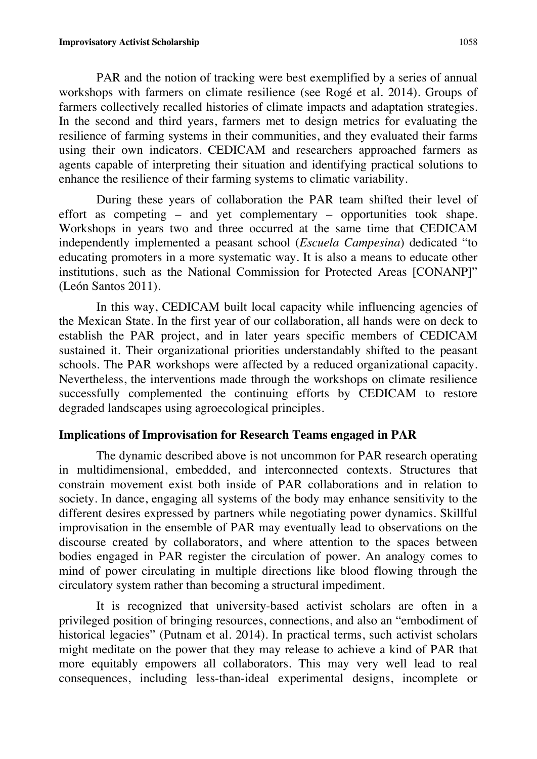PAR and the notion of tracking were best exemplified by a series of annual workshops with farmers on climate resilience (see Rogé et al. 2014). Groups of farmers collectively recalled histories of climate impacts and adaptation strategies. In the second and third years, farmers met to design metrics for evaluating the resilience of farming systems in their communities, and they evaluated their farms using their own indicators. CEDICAM and researchers approached farmers as agents capable of interpreting their situation and identifying practical solutions to enhance the resilience of their farming systems to climatic variability.

During these years of collaboration the PAR team shifted their level of effort as competing – and yet complementary – opportunities took shape. Workshops in years two and three occurred at the same time that CEDICAM independently implemented a peasant school (*Escuela Campesina*) dedicated "to educating promoters in a more systematic way. It is also a means to educate other institutions, such as the National Commission for Protected Areas [CONANP]" (León Santos 2011).

In this way, CEDICAM built local capacity while influencing agencies of the Mexican State. In the first year of our collaboration, all hands were on deck to establish the PAR project, and in later years specific members of CEDICAM sustained it. Their organizational priorities understandably shifted to the peasant schools. The PAR workshops were affected by a reduced organizational capacity. Nevertheless, the interventions made through the workshops on climate resilience successfully complemented the continuing efforts by CEDICAM to restore degraded landscapes using agroecological principles.

## **Implications of Improvisation for Research Teams engaged in PAR**

The dynamic described above is not uncommon for PAR research operating in multidimensional, embedded, and interconnected contexts. Structures that constrain movement exist both inside of PAR collaborations and in relation to society. In dance, engaging all systems of the body may enhance sensitivity to the different desires expressed by partners while negotiating power dynamics. Skillful improvisation in the ensemble of PAR may eventually lead to observations on the discourse created by collaborators, and where attention to the spaces between bodies engaged in PAR register the circulation of power. An analogy comes to mind of power circulating in multiple directions like blood flowing through the circulatory system rather than becoming a structural impediment.

It is recognized that university-based activist scholars are often in a privileged position of bringing resources, connections, and also an "embodiment of historical legacies" (Putnam et al. 2014). In practical terms, such activist scholars might meditate on the power that they may release to achieve a kind of PAR that more equitably empowers all collaborators. This may very well lead to real consequences, including less-than-ideal experimental designs, incomplete or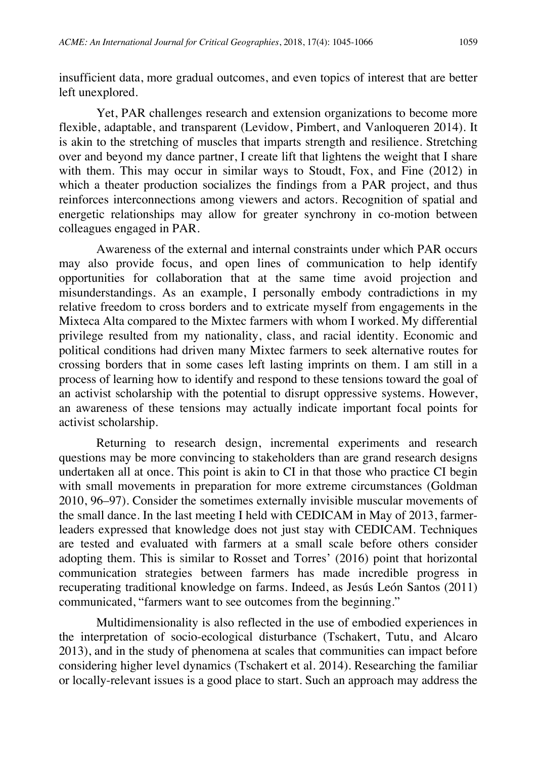insufficient data, more gradual outcomes, and even topics of interest that are better left unexplored.

Yet, PAR challenges research and extension organizations to become more flexible, adaptable, and transparent (Levidow, Pimbert, and Vanloqueren 2014). It is akin to the stretching of muscles that imparts strength and resilience. Stretching over and beyond my dance partner, I create lift that lightens the weight that I share with them. This may occur in similar ways to Stoudt, Fox, and Fine (2012) in which a theater production socializes the findings from a PAR project, and thus reinforces interconnections among viewers and actors. Recognition of spatial and energetic relationships may allow for greater synchrony in co-motion between colleagues engaged in PAR.

Awareness of the external and internal constraints under which PAR occurs may also provide focus, and open lines of communication to help identify opportunities for collaboration that at the same time avoid projection and misunderstandings. As an example, I personally embody contradictions in my relative freedom to cross borders and to extricate myself from engagements in the Mixteca Alta compared to the Mixtec farmers with whom I worked. My differential privilege resulted from my nationality, class, and racial identity. Economic and political conditions had driven many Mixtec farmers to seek alternative routes for crossing borders that in some cases left lasting imprints on them. I am still in a process of learning how to identify and respond to these tensions toward the goal of an activist scholarship with the potential to disrupt oppressive systems. However, an awareness of these tensions may actually indicate important focal points for activist scholarship.

Returning to research design, incremental experiments and research questions may be more convincing to stakeholders than are grand research designs undertaken all at once. This point is akin to CI in that those who practice CI begin with small movements in preparation for more extreme circumstances (Goldman 2010, 96–97). Consider the sometimes externally invisible muscular movements of the small dance. In the last meeting I held with CEDICAM in May of 2013, farmerleaders expressed that knowledge does not just stay with CEDICAM. Techniques are tested and evaluated with farmers at a small scale before others consider adopting them. This is similar to Rosset and Torres' (2016) point that horizontal communication strategies between farmers has made incredible progress in recuperating traditional knowledge on farms. Indeed, as Jesús León Santos (2011) communicated, "farmers want to see outcomes from the beginning."

Multidimensionality is also reflected in the use of embodied experiences in the interpretation of socio-ecological disturbance (Tschakert, Tutu, and Alcaro 2013), and in the study of phenomena at scales that communities can impact before considering higher level dynamics (Tschakert et al. 2014). Researching the familiar or locally-relevant issues is a good place to start. Such an approach may address the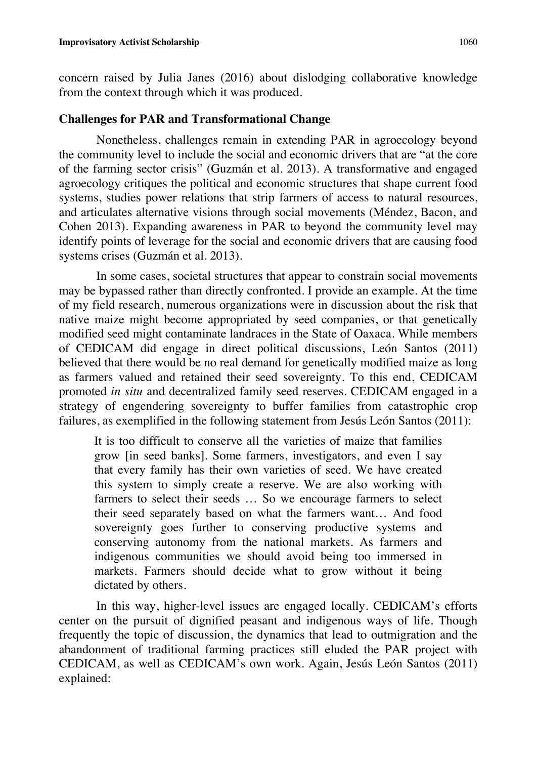concern raised by Julia Janes (2016) about dislodging collaborative knowledge from the context through which it was produced.

## **Challenges for PAR and Transformational Change**

Nonetheless, challenges remain in extending PAR in agroecology beyond the community level to include the social and economic drivers that are "at the core of the farming sector crisis" (Guzmán et al. 2013). A transformative and engaged agroecology critiques the political and economic structures that shape current food systems, studies power relations that strip farmers of access to natural resources, and articulates alternative visions through social movements (Méndez, Bacon, and Cohen 2013). Expanding awareness in PAR to beyond the community level may identify points of leverage for the social and economic drivers that are causing food systems crises (Guzmán et al. 2013).

In some cases, societal structures that appear to constrain social movements may be bypassed rather than directly confronted. I provide an example. At the time of my field research, numerous organizations were in discussion about the risk that native maize might become appropriated by seed companies, or that genetically modified seed might contaminate landraces in the State of Oaxaca. While members of CEDICAM did engage in direct political discussions, León Santos (2011) believed that there would be no real demand for genetically modified maize as long as farmers valued and retained their seed sovereignty. To this end, CEDICAM promoted *in situ* and decentralized family seed reserves. CEDICAM engaged in a strategy of engendering sovereignty to buffer families from catastrophic crop failures, as exemplified in the following statement from Jesús León Santos (2011):

It is too difficult to conserve all the varieties of maize that families grow [in seed banks]. Some farmers, investigators, and even I say that every family has their own varieties of seed. We have created this system to simply create a reserve. We are also working with farmers to select their seeds … So we encourage farmers to select their seed separately based on what the farmers want… And food sovereignty goes further to conserving productive systems and conserving autonomy from the national markets. As farmers and indigenous communities we should avoid being too immersed in markets. Farmers should decide what to grow without it being dictated by others.

In this way, higher-level issues are engaged locally. CEDICAM's efforts center on the pursuit of dignified peasant and indigenous ways of life. Though frequently the topic of discussion, the dynamics that lead to outmigration and the abandonment of traditional farming practices still eluded the PAR project with CEDICAM, as well as CEDICAM's own work. Again, Jesús León Santos (2011) explained: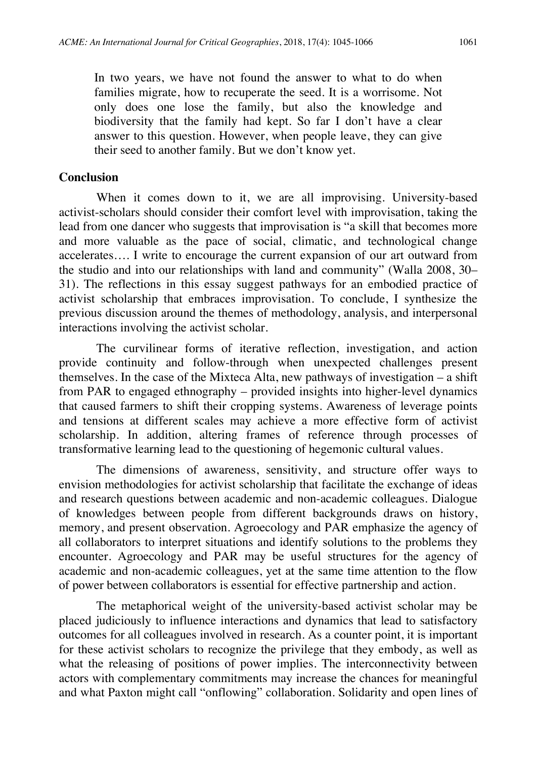In two years, we have not found the answer to what to do when families migrate, how to recuperate the seed. It is a worrisome. Not only does one lose the family, but also the knowledge and biodiversity that the family had kept. So far I don't have a clear answer to this question. However, when people leave, they can give their seed to another family. But we don't know yet.

### **Conclusion**

When it comes down to it, we are all improvising. University-based activist-scholars should consider their comfort level with improvisation, taking the lead from one dancer who suggests that improvisation is "a skill that becomes more and more valuable as the pace of social, climatic, and technological change accelerates…. I write to encourage the current expansion of our art outward from the studio and into our relationships with land and community" (Walla 2008, 30– 31). The reflections in this essay suggest pathways for an embodied practice of activist scholarship that embraces improvisation. To conclude, I synthesize the previous discussion around the themes of methodology, analysis, and interpersonal interactions involving the activist scholar.

The curvilinear forms of iterative reflection, investigation, and action provide continuity and follow-through when unexpected challenges present themselves. In the case of the Mixteca Alta, new pathways of investigation – a shift from PAR to engaged ethnography – provided insights into higher-level dynamics that caused farmers to shift their cropping systems. Awareness of leverage points and tensions at different scales may achieve a more effective form of activist scholarship. In addition, altering frames of reference through processes of transformative learning lead to the questioning of hegemonic cultural values.

The dimensions of awareness, sensitivity, and structure offer ways to envision methodologies for activist scholarship that facilitate the exchange of ideas and research questions between academic and non-academic colleagues. Dialogue of knowledges between people from different backgrounds draws on history, memory, and present observation. Agroecology and PAR emphasize the agency of all collaborators to interpret situations and identify solutions to the problems they encounter. Agroecology and PAR may be useful structures for the agency of academic and non-academic colleagues, yet at the same time attention to the flow of power between collaborators is essential for effective partnership and action.

The metaphorical weight of the university-based activist scholar may be placed judiciously to influence interactions and dynamics that lead to satisfactory outcomes for all colleagues involved in research. As a counter point, it is important for these activist scholars to recognize the privilege that they embody, as well as what the releasing of positions of power implies. The interconnectivity between actors with complementary commitments may increase the chances for meaningful and what Paxton might call "onflowing" collaboration. Solidarity and open lines of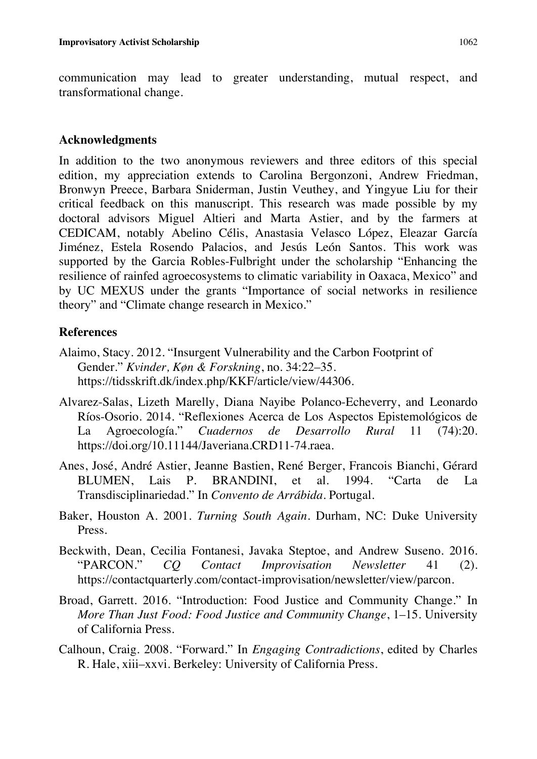communication may lead to greater understanding, mutual respect, and transformational change.

## **Acknowledgments**

In addition to the two anonymous reviewers and three editors of this special edition, my appreciation extends to Carolina Bergonzoni, Andrew Friedman, Bronwyn Preece, Barbara Sniderman, Justin Veuthey, and Yingyue Liu for their critical feedback on this manuscript. This research was made possible by my doctoral advisors Miguel Altieri and Marta Astier, and by the farmers at CEDICAM, notably Abelino Célis, Anastasia Velasco López, Eleazar García Jiménez, Estela Rosendo Palacios, and Jesús León Santos. This work was supported by the Garcia Robles-Fulbright under the scholarship "Enhancing the resilience of rainfed agroecosystems to climatic variability in Oaxaca, Mexico" and by UC MEXUS under the grants "Importance of social networks in resilience theory" and "Climate change research in Mexico."

## **References**

- Alaimo, Stacy. 2012. "Insurgent Vulnerability and the Carbon Footprint of Gender." *Kvinder, Køn & Forskning*, no. 34:22–35. https://tidsskrift.dk/index.php/KKF/article/view/44306.
- Alvarez-Salas, Lizeth Marelly, Diana Nayibe Polanco-Echeverry, and Leonardo Ríos-Osorio. 2014. "Reflexiones Acerca de Los Aspectos Epistemológicos de La Agroecología." *Cuadernos de Desarrollo Rural* 11 (74):20. https://doi.org/10.11144/Javeriana.CRD11-74.raea.
- Anes, José, André Astier, Jeanne Bastien, René Berger, Francois Bianchi, Gérard BLUMEN, Lais P. BRANDINI, et al. 1994. "Carta de La Transdisciplinariedad." In *Convento de Arrábida*. Portugal.
- Baker, Houston A. 2001. *Turning South Again*. Durham, NC: Duke University Press.
- Beckwith, Dean, Cecilia Fontanesi, Javaka Steptoe, and Andrew Suseno. 2016. "PARCON." *CQ Contact Improvisation Newsletter* 41 (2). https://contactquarterly.com/contact-improvisation/newsletter/view/parcon.
- Broad, Garrett. 2016. "Introduction: Food Justice and Community Change." In *More Than Just Food: Food Justice and Community Change*, 1–15. University of California Press.
- Calhoun, Craig. 2008. "Forward." In *Engaging Contradictions*, edited by Charles R. Hale, xiii–xxvi. Berkeley: University of California Press.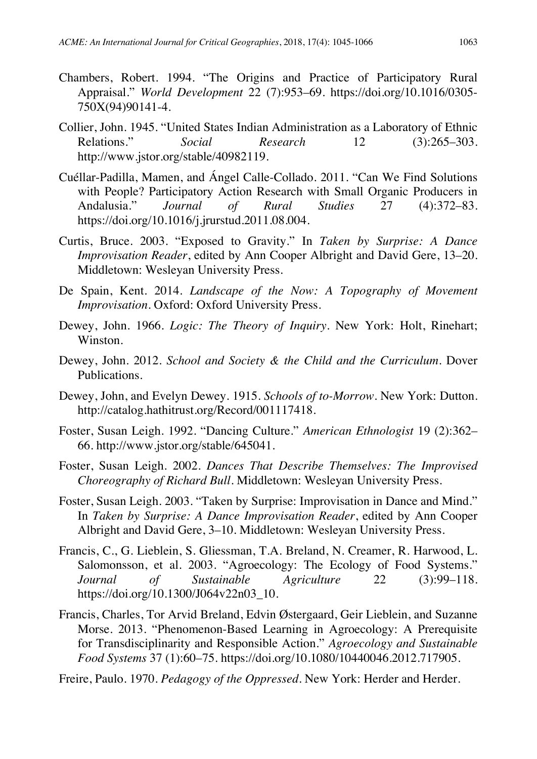- Chambers, Robert. 1994. "The Origins and Practice of Participatory Rural Appraisal." *World Development* 22 (7):953–69. https://doi.org/10.1016/0305- 750X(94)90141-4.
- Collier, John. 1945. "United States Indian Administration as a Laboratory of Ethnic Relations." *Social Research* 12 (3):265–303. http://www.jstor.org/stable/40982119.
- Cuéllar-Padilla, Mamen, and Ángel Calle-Collado. 2011. "Can We Find Solutions with People? Participatory Action Research with Small Organic Producers in Andalusia." *Journal of Rural Studies* 27 (4):372–83. https://doi.org/10.1016/j.jrurstud.2011.08.004.
- Curtis, Bruce. 2003. "Exposed to Gravity." In *Taken by Surprise: A Dance Improvisation Reader*, edited by Ann Cooper Albright and David Gere, 13–20. Middletown: Wesleyan University Press.
- De Spain, Kent. 2014. *Landscape of the Now: A Topography of Movement Improvisation*. Oxford: Oxford University Press.
- Dewey, John. 1966. *Logic: The Theory of Inquiry*. New York: Holt, Rinehart; Winston.
- Dewey, John. 2012. *School and Society & the Child and the Curriculum*. Dover Publications.
- Dewey, John, and Evelyn Dewey. 1915. *Schools of to-Morrow*. New York: Dutton. http://catalog.hathitrust.org/Record/001117418.
- Foster, Susan Leigh. 1992. "Dancing Culture." *American Ethnologist* 19 (2):362– 66. http://www.jstor.org/stable/645041.
- Foster, Susan Leigh. 2002. *Dances That Describe Themselves: The Improvised Choreography of Richard Bull*. Middletown: Wesleyan University Press.
- Foster, Susan Leigh. 2003. "Taken by Surprise: Improvisation in Dance and Mind." In *Taken by Surprise: A Dance Improvisation Reader*, edited by Ann Cooper Albright and David Gere, 3–10. Middletown: Wesleyan University Press.
- Francis, C., G. Lieblein, S. Gliessman, T.A. Breland, N. Creamer, R. Harwood, L. Salomonsson, et al. 2003. "Agroecology: The Ecology of Food Systems." *Journal of Sustainable Agriculture* 22 (3):99–118. https://doi.org/10.1300/J064v22n03\_10.
- Francis, Charles, Tor Arvid Breland, Edvin Østergaard, Geir Lieblein, and Suzanne Morse. 2013. "Phenomenon-Based Learning in Agroecology: A Prerequisite for Transdisciplinarity and Responsible Action." *Agroecology and Sustainable Food Systems* 37 (1):60–75. https://doi.org/10.1080/10440046.2012.717905.

Freire, Paulo. 1970. *Pedagogy of the Oppressed*. New York: Herder and Herder.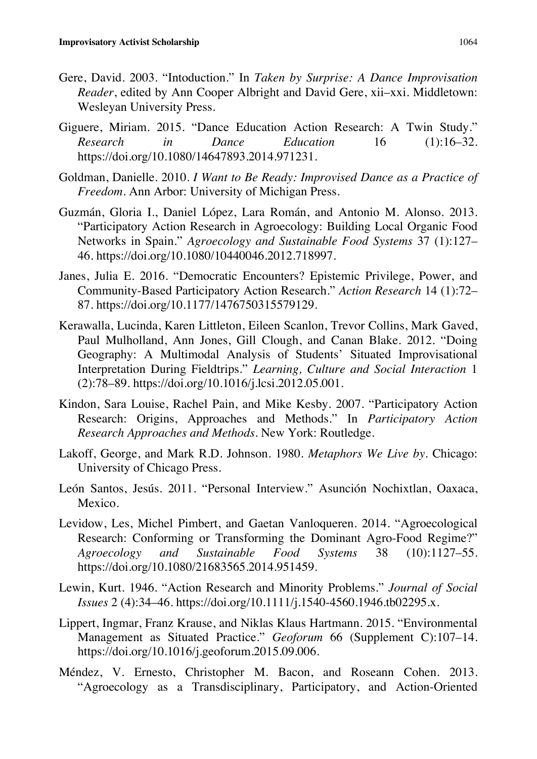- Gere, David. 2003. "Intoduction." In *Taken by Surprise: A Dance Improvisation Reader*, edited by Ann Cooper Albright and David Gere, xii–xxi. Middletown: Wesleyan University Press.
- Giguere, Miriam. 2015. "Dance Education Action Research: A Twin Study." *Research in Dance Education* 16 (1):16–32. https://doi.org/10.1080/14647893.2014.971231.
- Goldman, Danielle. 2010. *I Want to Be Ready: Improvised Dance as a Practice of Freedom*. Ann Arbor: University of Michigan Press.
- Guzmán, Gloria I., Daniel López, Lara Román, and Antonio M. Alonso. 2013. "Participatory Action Research in Agroecology: Building Local Organic Food Networks in Spain." *Agroecology and Sustainable Food Systems* 37 (1):127– 46. https://doi.org/10.1080/10440046.2012.718997.
- Janes, Julia E. 2016. "Democratic Encounters? Epistemic Privilege, Power, and Community-Based Participatory Action Research." *Action Research* 14 (1):72– 87. https://doi.org/10.1177/1476750315579129.
- Kerawalla, Lucinda, Karen Littleton, Eileen Scanlon, Trevor Collins, Mark Gaved, Paul Mulholland, Ann Jones, Gill Clough, and Canan Blake. 2012. "Doing Geography: A Multimodal Analysis of Students' Situated Improvisational Interpretation During Fieldtrips." *Learning, Culture and Social Interaction* 1 (2):78–89. https://doi.org/10.1016/j.lcsi.2012.05.001.
- Kindon, Sara Louise, Rachel Pain, and Mike Kesby. 2007. "Participatory Action Research: Origins, Approaches and Methods." In *Participatory Action Research Approaches and Methods*. New York: Routledge.
- Lakoff, George, and Mark R.D. Johnson. 1980. *Metaphors We Live by*. Chicago: University of Chicago Press.
- León Santos, Jesús. 2011. "Personal Interview." Asunción Nochixtlan, Oaxaca, Mexico.
- Levidow, Les, Michel Pimbert, and Gaetan Vanloqueren. 2014. "Agroecological Research: Conforming or Transforming the Dominant Agro-Food Regime?" *Agroecology and Sustainable Food Systems* 38 (10):1127–55. https://doi.org/10.1080/21683565.2014.951459.
- Lewin, Kurt. 1946. "Action Research and Minority Problems." *Journal of Social Issues* 2 (4):34–46. https://doi.org/10.1111/j.1540-4560.1946.tb02295.x.
- Lippert, Ingmar, Franz Krause, and Niklas Klaus Hartmann. 2015. "Environmental Management as Situated Practice." *Geoforum* 66 (Supplement C):107–14. https://doi.org/10.1016/j.geoforum.2015.09.006.
- Méndez, V. Ernesto, Christopher M. Bacon, and Roseann Cohen. 2013. "Agroecology as a Transdisciplinary, Participatory, and Action-Oriented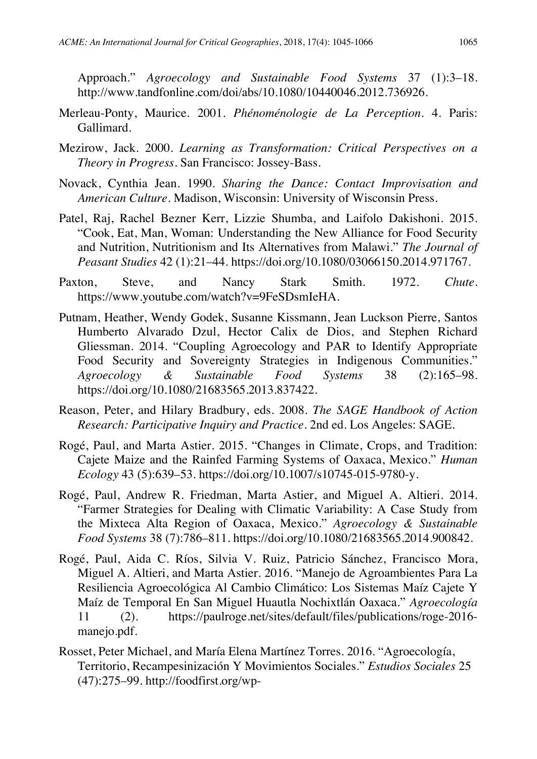Approach." *Agroecology and Sustainable Food Systems* 37 (1):3–18. http://www.tandfonline.com/doi/abs/10.1080/10440046.2012.736926.

- Merleau-Ponty, Maurice. 2001. *Phénoménologie de La Perception*. 4. Paris: Gallimard.
- Mezirow, Jack. 2000. *Learning as Transformation: Critical Perspectives on a Theory in Progress*. San Francisco: Jossey-Bass.
- Novack, Cynthia Jean. 1990. *Sharing the Dance: Contact Improvisation and American Culture*. Madison, Wisconsin: University of Wisconsin Press.
- Patel, Raj, Rachel Bezner Kerr, Lizzie Shumba, and Laifolo Dakishoni. 2015. "Cook, Eat, Man, Woman: Understanding the New Alliance for Food Security and Nutrition, Nutritionism and Its Alternatives from Malawi." *The Journal of Peasant Studies* 42 (1):21–44. https://doi.org/10.1080/03066150.2014.971767.
- Paxton, Steve, and Nancy Stark Smith. 1972. *Chute*. https://www.youtube.com/watch?v=9FeSDsmIeHA.
- Putnam, Heather, Wendy Godek, Susanne Kissmann, Jean Luckson Pierre, Santos Humberto Alvarado Dzul, Hector Calix de Dios, and Stephen Richard Gliessman. 2014. "Coupling Agroecology and PAR to Identify Appropriate Food Security and Sovereignty Strategies in Indigenous Communities." *Agroecology & Sustainable Food Systems* 38 (2):165–98. https://doi.org/10.1080/21683565.2013.837422.
- Reason, Peter, and Hilary Bradbury, eds. 2008. *The SAGE Handbook of Action Research: Participative Inquiry and Practice*. 2nd ed. Los Angeles: SAGE.
- Rogé, Paul, and Marta Astier. 2015. "Changes in Climate, Crops, and Tradition: Cajete Maize and the Rainfed Farming Systems of Oaxaca, Mexico." *Human Ecology* 43 (5):639–53. https://doi.org/10.1007/s10745-015-9780-y.
- Rogé, Paul, Andrew R. Friedman, Marta Astier, and Miguel A. Altieri. 2014. "Farmer Strategies for Dealing with Climatic Variability: A Case Study from the Mixteca Alta Region of Oaxaca, Mexico." *Agroecology & Sustainable Food Systems* 38 (7):786–811. https://doi.org/10.1080/21683565.2014.900842.
- Rogé, Paul, Aida C. Ríos, Silvia V. Ruiz, Patricio Sánchez, Francisco Mora, Miguel A. Altieri, and Marta Astier. 2016. "Manejo de Agroambientes Para La Resiliencia Agroecológica Al Cambio Climático: Los Sistemas Maíz Cajete Y Maíz de Temporal En San Miguel Huautla Nochixtlán Oaxaca." *Agroecología* 11 (2). https://paulroge.net/sites/default/files/publications/roge-2016 manejo.pdf.
- Rosset, Peter Michael, and María Elena Martínez Torres. 2016. "Agroecología, Territorio, Recampesinización Y Movimientos Sociales." *Estudios Sociales* 25 (47):275–99. http://foodfirst.org/wp-